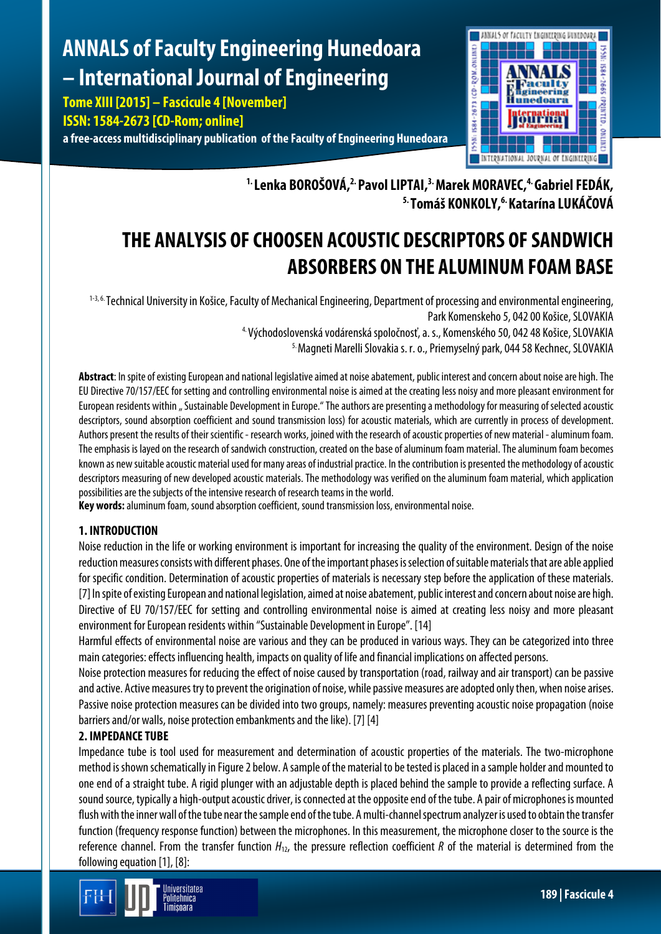# **ANNALS of Faculty Engineering Hunedoara – International Journal of Engineering**

**Tome XIII [2015] – Fascicule 4 [November] ISSN: 1584-2673 [CD-Rom; online] a free-access multidisciplinary publication of the Faculty of Engineering Hunedoara**



<sup>1.</sup> Lenka BOROŠOVÁ,<sup>2.</sup> Pavol LIPTAI,<sup>3.</sup> Marek MORAVEC,<sup>4.</sup> Gabriel FEDÁK, **5. Tomáš KONKOLY,6. Katarína LUKÁČOVÁ**

# **THE ANALYSIS OF CHOOSEN ACOUSTIC DESCRIPTORS OF SANDWICH ABSORBERS ON THE ALUMINUM FOAM BASE**

1-3, 6. Technical University in Košice, Faculty of Mechanical Engineering, Department of processing and environmental engineering, Park Komenskeho 5, 042 00 Košice, SLOVAKIA

> 4. Východoslovenská vodárenská spoločnosť, a. s., Komenského 50, 042 48 Košice, SLOVAKIA 5. Magneti Marelli Slovakia s. r. o., Priemyselný park,044 58 Kechnec, SLOVAKIA

**Abstract**: In spite of existing European and national legislative aimed at noise abatement, public interest and concern about noise are high. The EU Directive 70/157/EEC for setting and controlling environmental noise is aimed at the creating less noisy and more pleasant environment for European residents within "Sustainable Development in Europe." The authors are presenting a methodology for measuring of selected acoustic descriptors, sound absorption coefficient and sound transmission loss) for acoustic materials, which are currently in process of development. Authors present the results of their scientific - research works, joined with the research of acoustic properties of new material - aluminum foam. The emphasis is layed on the research of sandwich construction, created on the base of aluminum foam material. The aluminum foam becomes known as new suitable acoustic material used for many areas of industrial practice. In the contribution is presented the methodology of acoustic descriptors measuring of new developed acoustic materials. The methodology was verified on the aluminum foam material, which application possibilities are the subjects of the intensive research of research teams in the world.

**Key words:** aluminum foam, sound absorption coefficient, sound transmission loss, environmental noise.

# **1. INTRODUCTION**

Noise reduction in the life or working environment is important for increasing the quality of the environment. Design of the noise reduction measures consists with different phases. One of the important phases is selection of suitable materials that are able applied for specific condition. Determination of acoustic properties of materials is necessary step before the application of these materials. [7] In spite of existing European and national legislation, aimed at noise abatement, public interest and concern about noise are high. Directive of EU 70/157/EEC for setting and controlling environmental noise is aimed at creating less noisy and more pleasant environment for European residents within "Sustainable Development in Europe". [14]

Harmful effects of environmental noise are various and they can be produced in various ways. They can be categorized into three main categories: effects influencing health, impactson quality of life and financial implications on affected persons.

Noise protection measures for reducing the effect of noise caused by transportation (road, railway and air transport) can be passive and active. Active measures try to prevent the origination of noise, while passive measures are adopted only then, when noise arises. Passive noise protection measures can be divided into two groups, namely: measures preventing acoustic noise propagation (noise barriers and/or walls, noise protection embankments and the like). [7] [4]

## **2. IMPEDANCE TUBE**

Impedance tube is tool used for measurement and determination of acoustic properties of the materials. The two-microphone method is shown schematically in Figure 2 below. A sample of the material to be tested is placed in a sample holder and mounted to one end of a straight tube. A rigid plunger with an adjustable depth is placed behind the sample to provide a reflecting surface. A sound source, typically a high-output acoustic driver, is connected at the opposite end of the tube. A pair of microphones is mounted flush with the inner wall of the tube near the sample end of the tube. A multi-channel spectrum analyzer is used to obtain the transfer function (frequency response function) between the microphones. In this measurement, the microphone closer to the source is the reference channel. From the transfer function  $H_{12}$ , the pressure reflection coefficient R of the material is determined from the following equation [1], [8]:

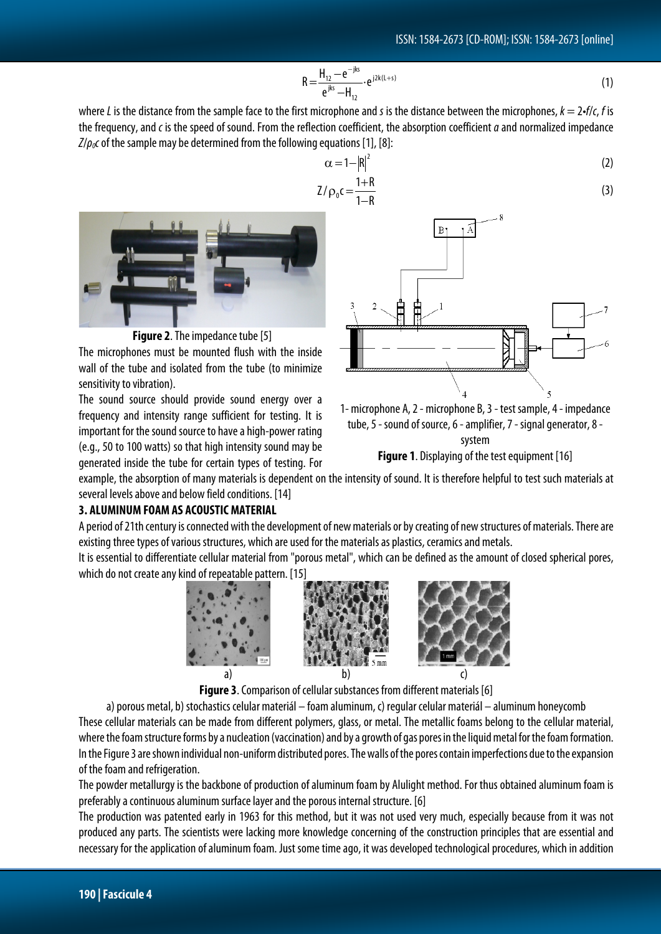$$
R = \frac{H_{12} - e^{-jks}}{e^{jks} - H_{12}} \cdot e^{j2k(l+s)}
$$
(1)

where *L* is the distance from the sample face to the first microphone and *s* is the distance between the microphones, *k* = 2•*f*/*c*, *f* is the frequency, and *c* is the speed of sound. From the reflection coefficient, the absorption coefficient *α*and normalized impedance  $Z/\rho_0c$  of the sample may be determined from the following equations [1], [8]:

$$
\alpha = 1 - |R|^2
$$
\n
$$
Z/\rho_0 c = \frac{1+R}{1-R}
$$
\n(2)

$$
\frac{1}{\sqrt{2}}\sum_{i=1}^{n} \frac{1}{i}
$$

**Figure 2**. The impedance tube [5]

The microphones must be mounted flush with the inside wall of the tube and isolated from the tube (to minimize sensitivity to vibration).

The sound source should provide sound energy over a frequency and intensity range sufficient for testing. It is important for the sound source to have a high-power rating (e.g., 50 to 100 watts) so that high intensity sound may be generated inside the tube for certain types of testing. For





**Figure 1**. Displaying of the test equipment [16]

example, the absorption of many materials is dependent on the intensity of sound. It is therefore helpful to test such materials at several levels above and below field conditions. [14]

#### **3. ALUMINUM FOAM AS ACOUSTIC MATERIAL**

A period of 21th century is connected with the development of new materials or by creating of new structures of materials. There are existing three types of various structures, which are used for the materials as plastics, ceramics and metals.

It is essential to differentiate cellular material from "porous metal", which can be defined as the amount of closed spherical pores, which do not create any kind of repeatable pattern. [15]



**Figure 3.** Comparison of cellular substances from different materials [6]

a) porous metal, b) stochastics celular materiál – foam aluminum, c) regular celular materiál – aluminum honeycomb These cellular materials can be made from different polymers, glass, or metal. The metallic foams belong to the cellular material, where the foam structure forms by a nucleation (vaccination) and by a growth of gas pores in the liquid metal for the foam formation. In the Figure 3 are shown individual non-uniform distributed pores. The walls of the pores contain imperfections due to the expansion of the foam and refrigeration.

The powder metallurgy is the backbone of production of aluminum foam by Alulight method. For thus obtained aluminum foam is preferably a continuous aluminum surface layer and the porous internal structure. [6]

The production was patented early in 1963 for this method, but it was not used very much, especially because from it was not produced any parts. The scientists were lacking more knowledge concerning of the construction principles that are essential and necessary for the application of aluminum foam. Just some time ago, it was developed technological procedures, which in addition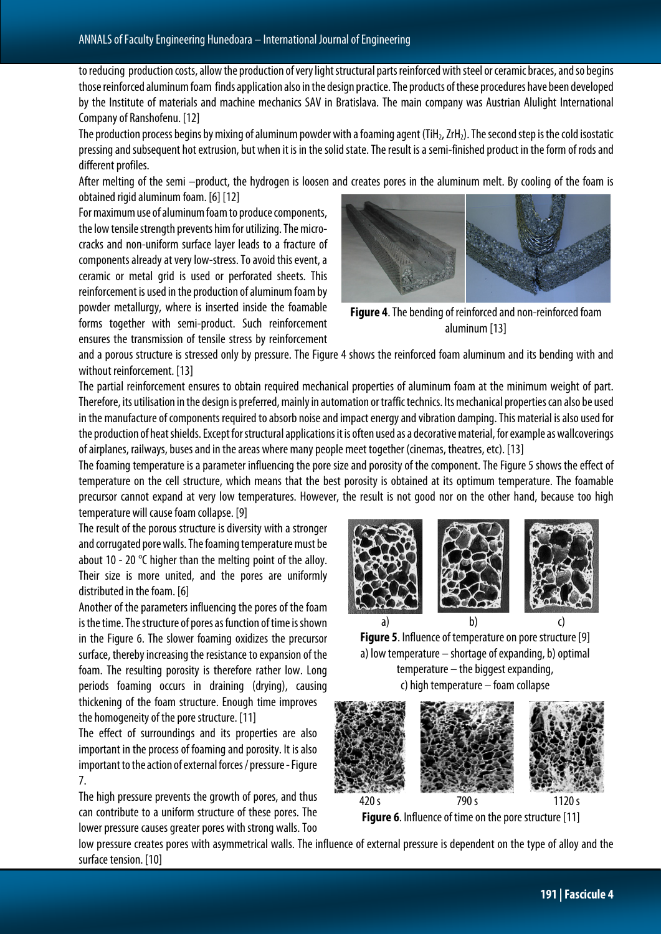to reducing production costs, allow the production of very light structural parts reinforced with steel or ceramic braces, and so begins those reinforced aluminum foam finds application also in the design practice. The products of these procedures have been developed by the Institute of materials and machine mechanics SAV in Bratislava. The main company was Austrian Alulight International Company of Ranshofenu. [12]

The production process begins by mixing of aluminum powder with a foaming agent (TiH<sub>2</sub>, ZrH<sub>2</sub>). The second step is the cold isostatic pressing and subsequent hot extrusion, but when it is in the solid state. The result is a semi-finished product in the form of rods and different profiles.

After melting of the semi –product, the hydrogen is loosen and creates pores in the aluminum melt. By cooling of the foam is obtained rigid aluminum foam. [6] [12]

For maximum use of aluminum foam to produce components, the low tensile strength prevents him for utilizing. The microcracks and non-uniform surface layer leads to a fracture of components already at very low-stress. To avoid this event, a ceramic or metal grid is used or perforated sheets. This reinforcement is used in the production of aluminum foam by powder metallurgy, where is inserted inside the foamable forms together with semi-product. Such reinforcement ensures the transmission of tensile stress by reinforcement



**Figure 4**.The bending of reinforced and non-reinforced foam aluminum [13]

and a porous structure is stressed only by pressure. The Figure 4 shows the reinforced foam aluminum and its bending with and without reinforcement. [13]

The partial reinforcement ensures to obtain required mechanical properties of aluminum foam at the minimum weight of part. Therefore, its utilisation in the design is preferred, mainly in automation or traffic technics. Its mechanical properties can also be used in the manufacture of components required to absorb noise and impact energy and vibration damping. This material is also used for the production of heat shields. Except for structural applications it is often used as a decorative material, for example as wallcoverings of airplanes, railways, buses and in the areas where many people meet together (cinemas, theatres, etc). [13]

The foaming temperature is a parameter influencing the pore size and porosity of the component. The Figure 5 shows the effect of temperature on the cell structure, which means that the best porosity is obtained at its optimum temperature. The foamable precursor cannot expand at very low temperatures. However, the result is not good nor on the other hand, because too high temperature will cause foam collapse. [9]

The result of the porous structure is diversity with a stronger and corrugated pore walls. The foaming temperature must be about 10 - 20 °C higher than the melting point of the alloy. Their size is more united, and the pores are uniformly distributed in the foam. [6]

Another of the parameters influencing the pores of the foam is the time. The structure of pores as function of time is shown in the Figure 6. The slower foaming oxidizes the precursor surface, thereby increasing the resistance to expansion of the foam. The resulting porosity is therefore rather low. Long periods foaming occurs in draining (drying), causing thickening of the foam structure. Enough time improves the homogeneity of the pore structure. [11]

The effect of surroundings and its properties are also important in the process of foaming and porosity. It is also important to the action of external forces/ pressure -Figure 7.

The high pressure prevents the growth of pores, and thus can contribute to a uniform structure of these pores. The lower pressure causes greater pores with strong walls. Too



**Figure 5**. Influence of temperature on pore structure [9] a) low temperature – shortage of expanding, b) optimal temperature – the biggest expanding, c) high temperature – foam collapse



**Figure 6**. Influence of time on the pore structure [11]

low pressure creates pores with asymmetrical walls. The influence of external pressure is dependent on the type of alloy and the surface tension. [10]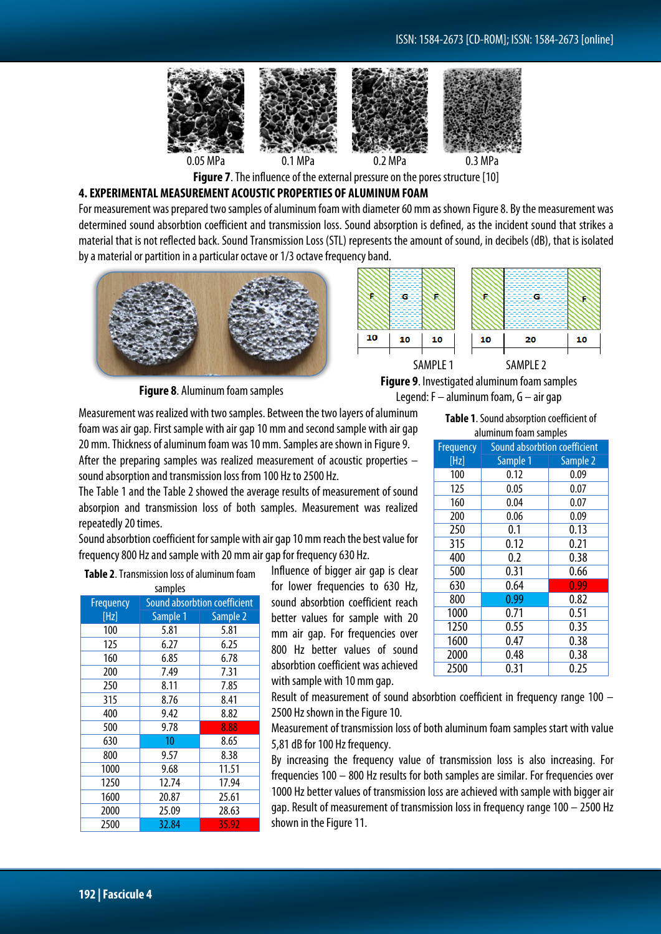

**Figure 7**.The influence of the external pressure on the pores structure [10]

## **4. EXPERIMENTAL MEASUREMENT ACOUSTIC PROPERTIES OF ALUMINUM FOAM**

For measurement was prepared two samples of aluminum foam with diameter 60 mmas shown Figure 8. By the measurement was determined sound absorbtion coefficient and transmission loss. Sound absorption is defined, as the incident sound that strikes a material that is not reflected back. Sound Transmission Loss (STL) represents the amount of sound, in decibels (dB), that is isolated by a material or partition in a particular octave or 1/3 octave frequency band.





**Figure 8**. Aluminum foam samples



Measurement was realized with two samples. Between the two layers of aluminum foam was air gap. First sample with air gap 10 mm and second sample with air gap 20 mm. Thickness of aluminum foam was 10 mm. Samples are shown in Figure 9. After the preparing samples was realized measurement of acoustic properties – sound absorption and transmission loss from 100 Hz to 2500 Hz.

The Table 1 and the Table 2 showed the average results of measurement of sound absorpion and transmission loss of both samples. Measurement was realized repeatedly 20 times.

Sound absorbtion coefficient for sample with air gap 10 mm reach the best value for frequency 800 Hz and sample with 20 mm air gap for frequency 630 Hz.

**Table 2**. Transmission loss of aluminum foam

| samples          |                                     |          |  |
|------------------|-------------------------------------|----------|--|
| <b>Frequency</b> | <b>Sound absorbtion coefficient</b> |          |  |
| [Hz]             | Sample 1                            | Sample 2 |  |
| 100              | 5.81                                | 5.81     |  |
| 125              | 6.27                                | 6.25     |  |
| 160              | 6.85                                | 6.78     |  |
| 200              | 7.49                                | 7.31     |  |
| 250              | 8.11                                | 7.85     |  |
| 315              | 8.76                                | 8.41     |  |
| 400              | 9.42                                | 8.82     |  |
| 500              | 9.78                                | 8.88     |  |
| 630              | 10                                  | 8.65     |  |
| 800              | 9.57                                | 8.38     |  |
| 1000             | 9.68                                | 11.51    |  |
| 1250             | 12.74                               | 17.94    |  |
| 1600             | 20.87                               | 25.61    |  |
| 2000             | 25.09                               | 28.63    |  |
| 2500             | 32.84                               | 35.92    |  |

Influence of bigger air gap is clear for lower frequencies to 630 Hz, sound absorbtion coefficient reach better values for sample with 20 mm air gap. For frequencies over 800 Hz better values of sound absorbtion coefficient was achieved with sample with 10mm gap.

**Table 1**. Sound absorption coefficient of aluminum foam samples

| Frequency | Sound absorbtion coefficient |          |
|-----------|------------------------------|----------|
| [Hz]      | Sample 1                     | Sample 2 |
| 100       | 0.12                         | 0.09     |
| 125       | 0.05                         | 0.07     |
| 160       | 0.04                         | 0.07     |
| 200       | 0.06                         | 0.09     |
| 250       | 0.1                          | 0.13     |
| 315       | 0.12                         | 0.21     |
| 400       | 0.2                          | 0.38     |
| 500       | 0.31                         | 0.66     |
| 630       | 0.64                         | 0.99     |
| 800       | 0.99                         | 0.82     |
| 1000      | 0.71                         | 0.51     |
| 1250      | 0.55                         | 0.35     |
| 1600      | 0.47                         | 0.38     |
| 2000      | 0.48                         | 0.38     |
| 2500      | 0.31                         | 0.25     |

Result of measurement of sound absorbtion coefficient in frequency range 100 – 2500 Hz shown in the Figure 10.

Measurement of transmission loss of both aluminum foam samples start with value 5,81dB for 100 Hz frequency.

By increasing the frequency value of transmission loss is also increasing. For frequencies 100 – 800 Hz results for both samples are similar. For frequencies over 1000 Hz better values of transmission loss are achieved with sample with bigger air gap. Result of measurement of transmission loss in frequency range 100 – 2500 Hz shown in the Figure 11.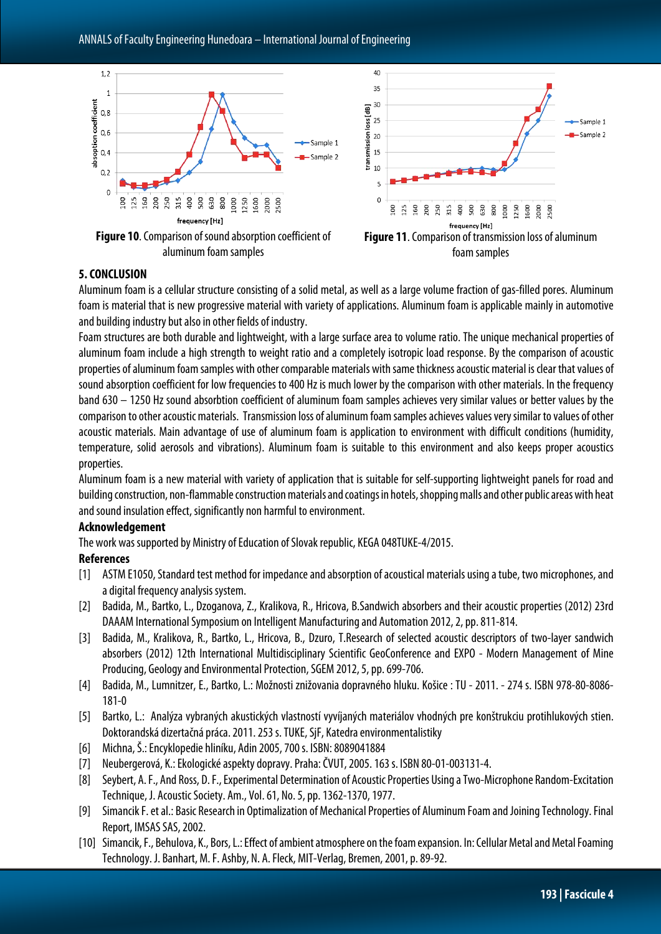ANNALS of Faculty Engineering Hunedoara – International Journal of Engineering



#### **5. CONCLUSION**

Aluminum foam is a cellular structure consisting of a solid metal, as well as a large volume fraction of gas-filled pores. Aluminum foam is material that is new progressive material with variety of applications. Aluminum foam is applicable mainly in automotive and building industry but also in other fields of industry.

Foam structures are both durable and lightweight, with a large surface area to volume ratio. The unique mechanical properties of aluminum foam include a high strength to weight ratio and a completely isotropic load response. By the comparison of acoustic properties of aluminum foam samples with other comparable materials with same thickness acoustic material is clear that values of sound absorption coefficient for low frequencies to 400 Hz is much lower by the comparison with other materials. In the frequency band 630 – 1250 Hz sound absorbtion coefficient of aluminum foam samples achieves very similar values or better values by the comparison to other acoustic materials. Transmission loss ofaluminum foam samples achieves values very similar to values of other acoustic materials. Main advantage of use of aluminum foam is application to environment with difficult conditions (humidity, temperature, solid aerosols and vibrations). Aluminum foam is suitable to this environment and also keeps proper acoustics properties.

Aluminum foam is a new material with variety of application that is suitable for self-supporting lightweight panels for road and building construction, non-flammable construction materials and coatings in hotels, shopping malls and other public areas with heat and sound insulation effect, significantly non harmful to environment.

#### **Acknowledgement**

The work was supported by Ministry of Education of Slovak republic, KEGA 048TUKE-4/2015.

#### **References**

- [1] ASTM E1050, Standard test method for impedance and absorption of acoustical materials using a tube, two microphones, and a digital frequency analysis system.
- [2] Badida, M., Bartko, L., Dzoganova, Z., Kralikova, R., Hricova, B.Sandwich absorbers and their acoustic properties (2012) 23rd DAAAM International Symposium on Intelligent Manufacturing and Automation 2012, 2, pp. 811-814.
- [3] Badida, M., Kralikova, R., Bartko, L., Hricova, B., Dzuro, T.Research of selected acoustic descriptors of two-layer sandwich absorbers (2012) 12th International Multidisciplinary Scientific GeoConference and EXPO - Modern Management of Mine Producing, Geology and Environmental Protection, SGEM 2012, 5, pp. 699-706.
- [4] Badida, M., Lumnitzer, E., Bartko, L.: Možnosti znižovania dopravného hluku. Košice : TU 2011. 274 s. ISBN 978-80-8086- 181-0
- [5] Bartko, L.: Analýza vybraných akustických vlastností vyvíjaných materiálov vhodných pre konštrukciu protihlukových stien. Doktorandská dizertačná práca. 2011. 253 s. TUKE, SjF, Katedra environmentalistiky
- [6] Michna, Š.: Encyklopedie hliníku, Adin 2005, 700 s. ISBN: 8089041884
- [7] Neubergerová, K.: Ekologické aspekty dopravy. Praha: ČVUT, 2005. 163 s. ISBN 80-01-003131-4.
- [8] Seybert, A. F., And Ross, D. F., Experimental Determination of Acoustic Properties Using a Two-Microphone Random-Excitation Technique, J. Acoustic Society. Am., Vol. 61, No. 5, pp. 1362-1370, 1977.
- [9] Simancik F. et al.: Basic Research in Optimalization of Mechanical Properties of Aluminum Foam and Joining Technology. Final Report, IMSAS SAS, 2002.
- [10] Simancik, F., Behulova, K., Bors, L.: Effect of ambient atmosphere on the foam expansion. In: Cellular Metal and Metal Foaming Technology. J. Banhart, M. F. Ashby, N. A. Fleck, MIT-Verlag, Bremen, 2001, p. 89-92.